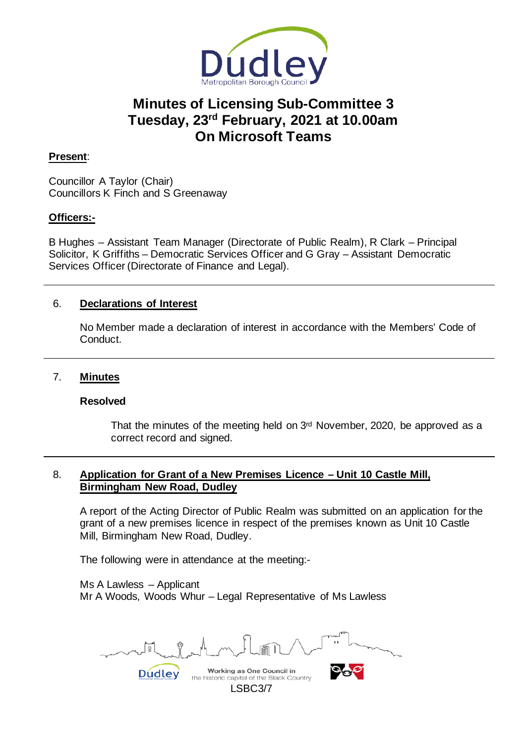

# **Minutes of Licensing Sub-Committee 3 Tuesday, 23rd February, 2021 at 10.00am On Microsoft Teams**

# **Present**:

Councillor A Taylor (Chair) Councillors K Finch and S Greenaway

## **Officers:-**

B Hughes – Assistant Team Manager (Directorate of Public Realm), R Clark – Principal Solicitor, K Griffiths – Democratic Services Officer and G Gray – Assistant Democratic Services Officer (Directorate of Finance and Legal).

# 6. **Declarations of Interest**

No Member made a declaration of interest in accordance with the Members' Code of Conduct.

#### 7. **Minutes**

## **Resolved**

That the minutes of the meeting held on 3rd November, 2020, be approved as a correct record and signed.

# 8. **Application for Grant of a New Premises Licence – Unit 10 Castle Mill, Birmingham New Road, Dudley**

A report of the Acting Director of Public Realm was submitted on an application for the grant of a new premises licence in respect of the premises known as Unit 10 Castle Mill, Birmingham New Road, Dudley.

The following were in attendance at the meeting:-

Dudley

Ms A Lawless – Applicant Mr A Woods, Woods Whur – Legal Representative of Ms Lawless

Working as One Council in

LSBC3/7

the historic capital of the Black Country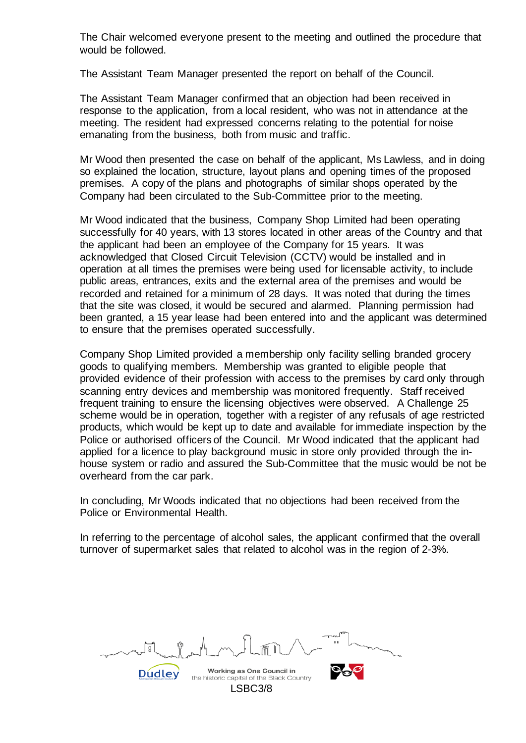The Chair welcomed everyone present to the meeting and outlined the procedure that would be followed.

The Assistant Team Manager presented the report on behalf of the Council.

The Assistant Team Manager confirmed that an objection had been received in response to the application, from a local resident, who was not in attendance at the meeting. The resident had expressed concerns relating to the potential for noise emanating from the business, both from music and traffic.

Mr Wood then presented the case on behalf of the applicant, Ms Lawless, and in doing so explained the location, structure, layout plans and opening times of the proposed premises. A copy of the plans and photographs of similar shops operated by the Company had been circulated to the Sub-Committee prior to the meeting.

Mr Wood indicated that the business, Company Shop Limited had been operating successfully for 40 years, with 13 stores located in other areas of the Country and that the applicant had been an employee of the Company for 15 years. It was acknowledged that Closed Circuit Television (CCTV) would be installed and in operation at all times the premises were being used for licensable activity, to include public areas, entrances, exits and the external area of the premises and would be recorded and retained for a minimum of 28 days. It was noted that during the times that the site was closed, it would be secured and alarmed. Planning permission had been granted, a 15 year lease had been entered into and the applicant was determined to ensure that the premises operated successfully.

Company Shop Limited provided a membership only facility selling branded grocery goods to qualifying members. Membership was granted to eligible people that provided evidence of their profession with access to the premises by card only through scanning entry devices and membership was monitored frequently. Staff received frequent training to ensure the licensing objectives were observed. A Challenge 25 scheme would be in operation, together with a register of any refusals of age restricted products, which would be kept up to date and available for immediate inspection by the Police or authorised officers of the Council. Mr Wood indicated that the applicant had applied for a licence to play background music in store only provided through the inhouse system or radio and assured the Sub-Committee that the music would be not be overheard from the car park.

In concluding, Mr Woods indicated that no objections had been received from the Police or Environmental Health.

In referring to the percentage of alcohol sales, the applicant confirmed that the overall turnover of supermarket sales that related to alcohol was in the region of 2-3%.

Working as One Council in **Dudley** the historic capital of the Black Country LSBC3/8